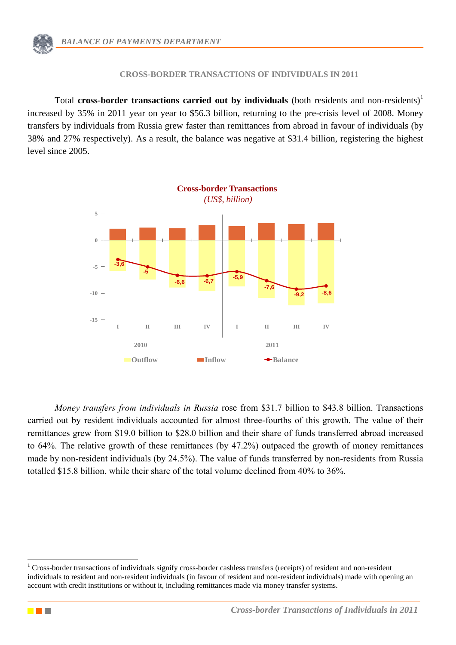#### **CROSS-BORDER TRANSACTIONS OF INDIVIDUALS IN 2011**

Total **cross-border transactions carried out by individuals** (both residents and non-residents)<sup>1</sup> increased by 35% in 2011 year on year to \$56.3 billion, returning to the pre-crisis level of 2008. Money transfers by individuals from Russia grew faster than remittances from abroad in favour of individuals (by 38% and 27% respectively). As a result, the balance was negative at \$31.4 billion, registering the highest level since 2005.



*Money transfers from individuals in Russia* rose from \$31.7 billion to \$43.8 billion. Transactions carried out by resident individuals accounted for almost three-fourths of this growth. The value of their remittances grew from \$19.0 billion to \$28.0 billion and their share of funds transferred abroad increased to 64%. The relative growth of these remittances (by 47.2%) outpaced the growth of money remittances made by non-resident individuals (by 24.5%). The value of funds transferred by non-residents from Russia totalled \$15.8 billion, while their share of the total volume declined from 40% to 36%.



1

<sup>&</sup>lt;sup>1</sup> Cross-border transactions of individuals signify cross-border cashless transfers (receipts) of resident and non-resident individuals to resident and non-resident individuals (in favour of resident and non-resident individuals) made with opening an account with credit institutions or without it, including remittances made via money transfer systems.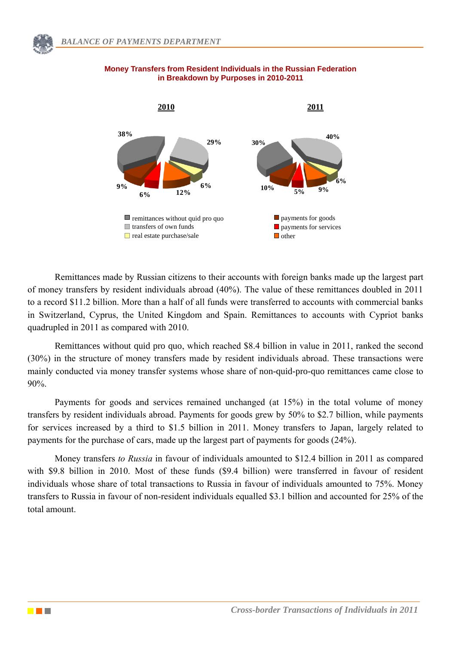

### **Money Transfers from Resident Individuals in the Russian Federation in Breakdown by Purposes in 2010-2011**

Remittances made by Russian citizens to their accounts with foreign banks made up the largest part of money transfers by resident individuals abroad (40%). The value of these remittances doubled in 2011 to a record \$11.2 billion. More than a half of all funds were transferred to accounts with commercial banks in Switzerland, Cyprus, the United Kingdom and Spain. Remittances to accounts with Cypriot banks quadrupled in 2011 as compared with 2010.

Remittances without quid pro quo, which reached \$8.4 billion in value in 2011, ranked the second (30%) in the structure of money transfers made by resident individuals abroad. These transactions were mainly conducted via money transfer systems whose share of non-quid-pro-quo remittances came close to 90%.

Payments for goods and services remained unchanged (at 15%) in the total volume of money transfers by resident individuals abroad. Payments for goods grew by 50% to \$2.7 billion, while payments for services increased by a third to \$1.5 billion in 2011. Money transfers to Japan, largely related to payments for the purchase of cars, made up the largest part of payments for goods (24%).

Money transfers *to Russia* in favour of individuals amounted to \$12.4 billion in 2011 as compared with \$9.8 billion in 2010. Most of these funds (\$9.4 billion) were transferred in favour of resident individuals whose share of total transactions to Russia in favour of individuals amounted to 75%. Money transfers to Russia in favour of non-resident individuals equalled \$3.1 billion and accounted for 25% of the total amount.

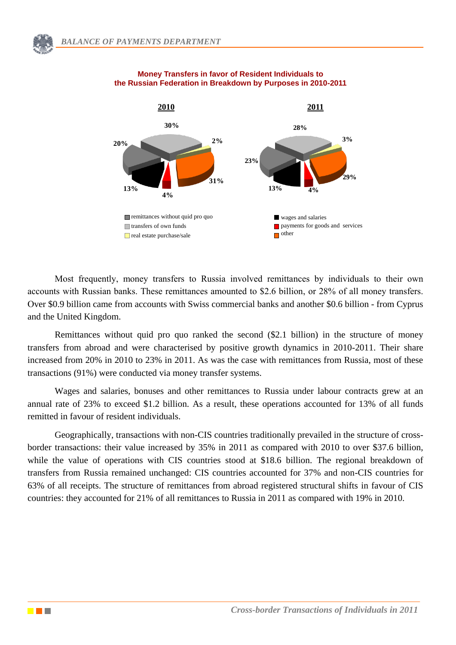

#### **Money Transfers in favor of Resident Individuals to the Russian Federation in Breakdown by Purposes in 2010-2011**

Most frequently, money transfers to Russia involved remittances by individuals to their own accounts with Russian banks. These remittances amounted to \$2.6 billion, or 28% of all money transfers. Over \$0.9 billion came from accounts with Swiss commercial banks and another \$0.6 billion - from Cyprus and the United Kingdom.

Remittances without quid pro quo ranked the second (\$2.1 billion) in the structure of money transfers from abroad and were characterised by positive growth dynamics in 2010-2011. Their share increased from 20% in 2010 to 23% in 2011. As was the case with remittances from Russia, most of these transactions (91%) were conducted via money transfer systems.

Wages and salaries, bonuses and other remittances to Russia under labour contracts grew at an annual rate of 23% to exceed \$1.2 billion. As a result, these operations accounted for 13% of all funds remitted in favour of resident individuals.

**Cross-border Cross-border Cross-border Cross-border Transactions Cross-border Cross-border Cross-border Cross-border Cross-border Cross-border Cross-border Cross-border Cross-border Cross-borde** Geographically, transactions with non-CIS countries traditionally prevailed in the structure of crossborder transactions: their value increased by 35% in 2011 as compared with 2010 to over \$37.6 billion, while the value of operations with CIS countries stood at \$18.6 billion. The regional breakdown of transfers from Russia remained unchanged: CIS countries accounted for 37% and non-CIS countries for 63% of all receipts. The structure of remittances from abroad registered structural shifts in favour of CIS countries: they accounted for 21% of all remittances to Russia in 2011 as compared with 19% in 2010.

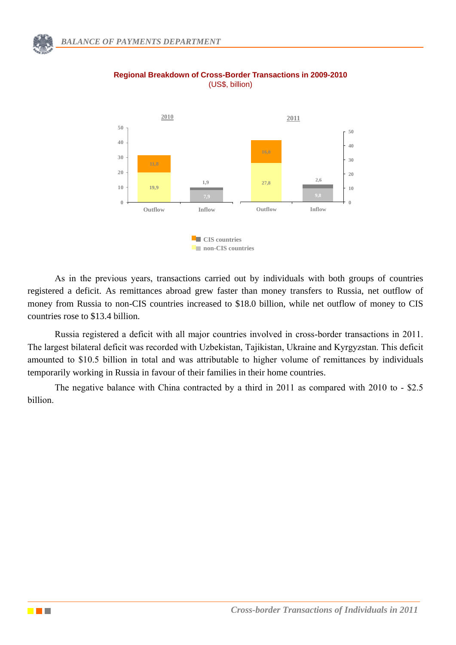

#### **Regional Breakdown of Cross-Border Transactions in 2009-2010** (US\$, billion)

As in the previous years, transactions carried out by individuals with both groups of countries registered a deficit. As remittances abroad grew faster than money transfers to Russia, net outflow of money from Russia to non-CIS countries increased to \$18.0 billion, while net outflow of money to CIS countries rose to \$13.4 billion.

Russia registered a deficit with all major countries involved in cross-border transactions in 2011. The largest bilateral deficit was recorded with Uzbekistan, Tajikistan, Ukraine and Kyrgyzstan. This deficit amounted to \$10.5 billion in total and was attributable to higher volume of remittances by individuals temporarily working in Russia in favour of their families in their home countries.

The negative balance with China contracted by a third in 2011 as compared with 2010 to - \$2.5 billion.

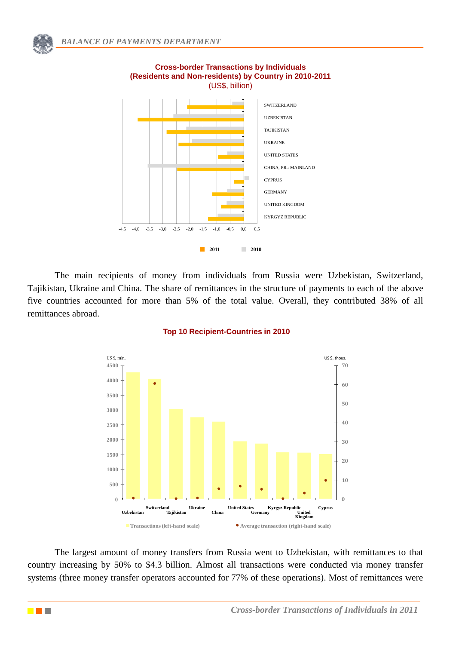

## **Cross-border Transactions by Individuals (Residents and Non-residents) by Country in 2010-2011**  (US\$, billion)

The main recipients of money from individuals from Russia were Uzbekistan, Switzerland, Tajikistan, Ukraine and China. The share of remittances in the structure of payments to each of the above five countries accounted for more than 5% of the total value. Overall, they contributed 38% of all remittances abroad.



## **Top 10 Recipient-Countries in 2010**

The largest amount of money transfers from Russia went to Uzbekistan, with remittances to that country increasing by 50% to \$4.3 billion. Almost all transactions were conducted via money transfer systems (three money transfer operators accounted for 77% of these operations). Most of remittances were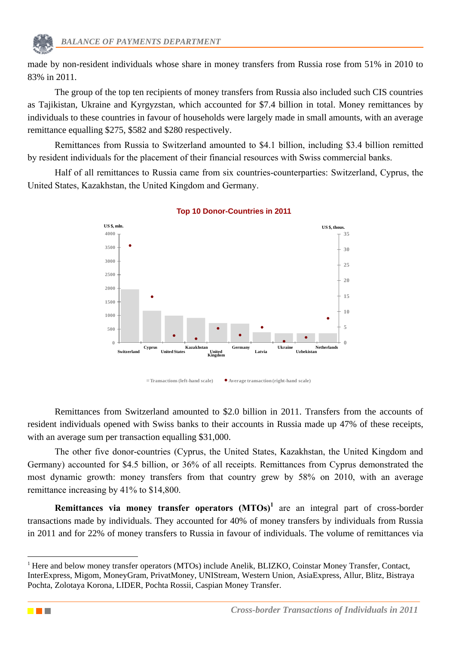made by non-resident individuals whose share in money transfers from Russia rose from 51% in 2010 to 83% in 2011.

The group of the top ten recipients of money transfers from Russia also included such CIS countries as Tajikistan, Ukraine and Kyrgyzstan, which accounted for \$7.4 billion in total. Money remittances by individuals to these countries in favour of households were largely made in small amounts, with an average remittance equalling \$275, \$582 and \$280 respectively.

Remittances from Russia to Switzerland amounted to \$4.1 billion, including \$3.4 billion remitted by resident individuals for the placement of their financial resources with Swiss commercial banks.

Half of all remittances to Russia came from six countries-counterparties: Switzerland, Cyprus, the United States, Kazakhstan, the United Kingdom and Germany.



## **Top 10 Donor-Countries in 2011**

Remittances from Switzerland amounted to \$2.0 billion in 2011. Transfers from the accounts of resident individuals opened with Swiss banks to their accounts in Russia made up 47% of these receipts, with an average sum per transaction equalling \$31,000.

The other five donor-countries (Cyprus, the United States, Kazakhstan, the United Kingdom and Germany) accounted for \$4.5 billion, or 36% of all receipts. Remittances from Cyprus demonstrated the most dynamic growth: money transfers from that country grew by 58% on 2010, with an average remittance increasing by 41% to \$14,800.

**Remittances via money transfer operators (MTOs)<sup>1</sup>** are an integral part of cross-border transactions made by individuals. They accounted for 40% of money transfers by individuals from Russia in 2011 and for 22% of money transfers to Russia in favour of individuals. The volume of remittances via



1

<sup>&</sup>lt;sup>1</sup> Here and below money transfer operators (MTOs) include Anelik, BLIZKO, Coinstar Money Transfer, Contact, InterExpress, Migom, MoneyGram, PrivatMoney, UNIStream, Western Union, AsiaExpress, Allur, Blitz, Bistraya Pochta, Zolotaya Korona, LIDER, Pochta Rossii, Caspian Money Transfer.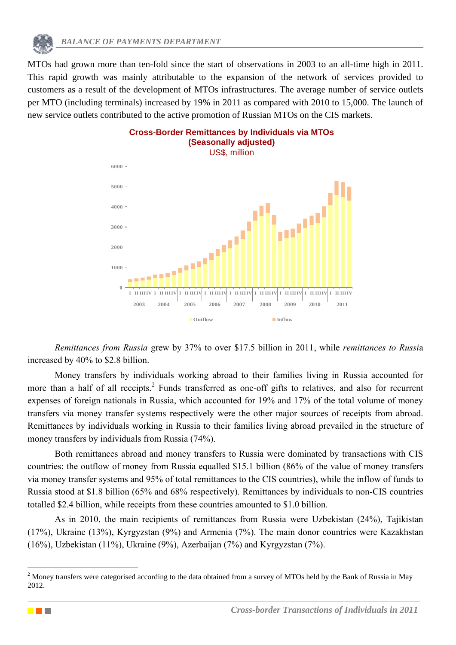

MTOs had grown more than ten-fold since the start of observations in 2003 to an all-time high in 2011. This rapid growth was mainly attributable to the expansion of the network of services provided to customers as a result of the development of MTOs infrastructures. The average number of service outlets per MTO (including terminals) increased by 19% in 2011 as compared with 2010 to 15,000. The launch of new service outlets contributed to the active promotion of Russian MTOs on the CIS markets.



*Remittances from Russia* grew by 37% to over \$17.5 billion in 2011, while *remittances to Russi*a increased by 40% to \$2.8 billion.

Money transfers by individuals working abroad to their families living in Russia accounted for more than a half of all receipts.<sup>2</sup> Funds transferred as one-off gifts to relatives, and also for recurrent expenses of foreign nationals in Russia, which accounted for 19% and 17% of the total volume of money transfers via money transfer systems respectively were the other major sources of receipts from abroad. Remittances by individuals working in Russia to their families living abroad prevailed in the structure of money transfers by individuals from Russia (74%).

Both remittances abroad and money transfers to Russia were dominated by transactions with CIS countries: the outflow of money from Russia equalled \$15.1 billion (86% of the value of money transfers via money transfer systems and 95% of total remittances to the CIS countries), while the inflow of funds to Russia stood at \$1.8 billion (65% and 68% respectively). Remittances by individuals to non-CIS countries totalled \$2.4 billion, while receipts from these countries amounted to \$1.0 billion.

As in 2010, the main recipients of remittances from Russia were Uzbekistan (24%), Tajikistan (17%), Ukraine (13%), Kyrgyzstan (9%) and Armenia (7%). The main donor countries were Kazakhstan (16%), Uzbekistan (11%), Ukraine (9%), Azerbaijan (7%) and Kyrgyzstan (7%).

1

<sup>&</sup>lt;sup>2</sup> Money transfers were categorised according to the data obtained from a survey of MTOs held by the Bank of Russia in May 2012.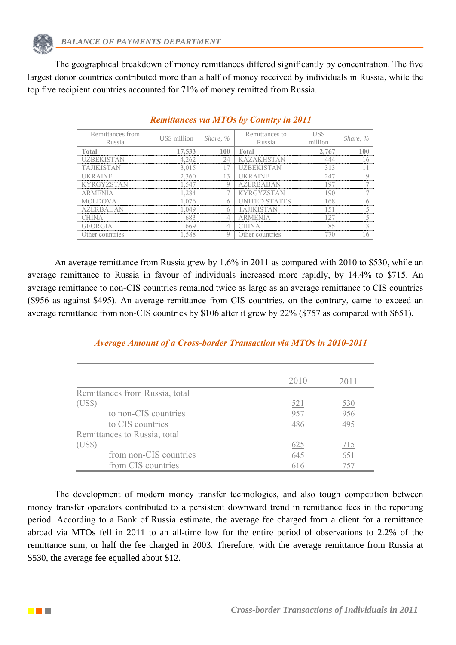The geographical breakdown of money remittances differed significantly by concentration. The five largest donor countries contributed more than a half of money received by individuals in Russia, while the top five recipient countries accounted for 71% of money remitted from Russia.

| Remittances from<br>Russia | US\$ million Share, $\%$ | Remittances to<br>Russia | $\lim$ | Share, %                              |
|----------------------------|--------------------------|--------------------------|--------|---------------------------------------|
| ntal<br>.                  |                          | <br>Total                |        |                                       |
| ,,,,,,,,,                  |                          |                          |        | ------------------------------------- |
|                            |                          |                          |        |                                       |
|                            |                          |                          |        |                                       |
|                            |                          |                          |        |                                       |
|                            |                          |                          |        |                                       |
|                            |                          |                          |        |                                       |
|                            |                          |                          |        |                                       |
|                            |                          |                          |        |                                       |
|                            |                          |                          |        |                                       |
| ther countries)            |                          | Ther countries           |        |                                       |

## *Remittances via MTOs by Country in 2011*

An average remittance from Russia grew by 1.6% in 2011 as compared with 2010 to \$530, while an average remittance to Russia in favour of individuals increased more rapidly, by 14.4% to \$715. An average remittance to non-CIS countries remained twice as large as an average remittance to CIS countries (\$956 as against \$495). An average remittance from CIS countries, on the contrary, came to exceed an average remittance from non-CIS countries by \$106 after it grew by 22% (\$757 as compared with \$651).

# *Average Amount of a Cross-border Transaction via MTOs in 2010-2011*

|                                | 2010 | 2011       |
|--------------------------------|------|------------|
| Remittances from Russia, total |      |            |
| (USS)                          | 521  | <u>530</u> |
| to non-CIS countries           | 957  | 956        |
| to CIS countries               | 486  | 495        |
| Remittances to Russia, total   |      |            |
| (US\$)                         | 625  | 715        |
| from non-CIS countries         | 645  | 651        |
| from CIS countries             | 616  | 757        |

The development of modern money transfer technologies, and also tough competition between money transfer operators contributed to a persistent downward trend in remittance fees in the reporting period. According to a Bank of Russia estimate, the average fee charged from a client for a remittance abroad via MTOs fell in 2011 to an all-time low for the entire period of observations to 2.2% of the remittance sum, or half the fee charged in 2003. Therefore, with the average remittance from Russia at \$530, the average fee equalled about \$12.